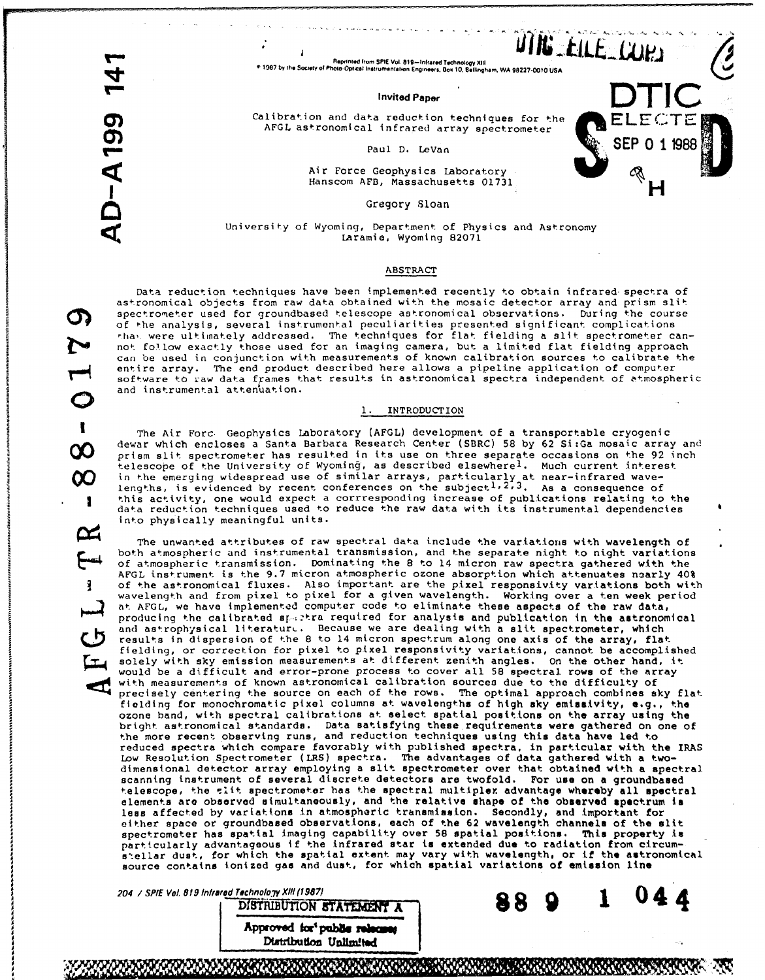N

 $\mathbf{I}$ 

÷

 $\overline{\mathbf{3}}$ 

# Proprinted from SPIE Vol. 819-Infrared Technology XIII<br>Paper Integral Technology XIII<br>P 1987 by the Society of Photo-Optical Instrumentation Engineers, Box 10, Bellingham, WA 98227-0010 USA <sup>e</sup> 1987 by the Society of Photo-Optical Instrumentation Engineers, Box 10, Bellingham, WA 98227-0010 USA<br>
Invited Paper

Calibration and data reduction techniques for the AFGL astronomlcal infrared array spectrometer Calibration and data reduction techniques for the<br>
AFGL astronomical infrared array spectrometer<br>
Paul D. LeVan<br>
Paul D. LeVan<br>
SEP 0 11988<br>
SEP 0 11988<br>
SEP 0 11988<br>
SEP 0 11988<br>
SEP 0 11988<br>
SEP 0 11988<br>
SEP 0 11988

Air Force Geophysics Laboratory<br>Hanscom AFB, Massachusetts 01731

Gregory Sloan

# University of Wyoming, Department of Physics and Astronomy Laramie, Wyoming 82071

### ABSTRACT

Data reduction techniques have been implemented recently to obtain infrared spectra of astronomical objects from raw data obtained with the mosaic detector array and prism slit **f a**spectrometer used for groundbased telescope astronomical observations. During the course of the analysis, several instrumental peculiarities presented significant complications ha,. were ultimately addressed. The techniques for flat fielding a slit spectrometer cannot follow exactly those used for an imaging camera, but a limited flat fielding approach can be used in conjunction with measurements of known calibration sources to calibrate the entire array. The end product described here allows a pipeline application of computer software to raw data frames that results in astronomical spectra independent of atmospheric and instrumental attenuation.

#### **1. INTRODUCTION**

The Air Forc Geophysics Laboratory (AFGL) development of a transportable cryogenic dewar which encloses a Santa Barbara Research Center (SBRC) 58 by 62 Si:Ga mosaic array and<br>
orism slit spectrometer has resulted in its use on three separate occasions on the 92 inch prism slit spectrometer has resulted in its use on three separate occasions on the 92 inch telescope of the University of Wyoming, as described elsewhere<sup>1</sup>. Much current interest In the emerging widespread use of similar arrays, particularly at near-infrared wave-<br>lengths, is evidenced by recent conferences on the subject<sup>1,2,3</sup>. As a consequence of this activity, one would expect a corrresponding increase of publications relating to the data reduction techniques used to reduce the raw data with its instrumental dependencies into physically meaningful units.

The unwanted attributes of raw spectral data include the variations with wavelength of both atmospheric and instrumental transmission, and the separate night to night variations of atmospheric transmission. Dominating the 8 to 14 micron raw spectra gathered with the AFGL inst-rument is the 9.7 micron atmospheric ozone absorption which attenuates noarly 40% of the astronomical fluxes. Also important are the pixel responsivity variations both with wavelength and from pixel to pixel for a given wavelength. Working over a ten week period at AFGL, we have implemented computer code to eliminate these aspects of the raw data, producing the calibrated s .:tra required for analysis and publication in the astronomical and astrophysical literatur. Because we are dealing with a slit spectrometer, which results in dispersion of the 8 to 14 micron spectrum along one axis of the array, flat fielding, or correction for pixel to pixel responsivity variations, cannot be accomplished solely with sky emission measurements at different zenith angles. On the other hand, It would be a difficult and error-prone process to cover all 58 spectral rows of the array with measurements of known astronomical calibration sources due to the difficulty of precisely centering the source on each of the rows. The optimal approach combines sky flat fielding for monochromatic pixel columns at wavelengths of high **sky** emissivity, **e.g.,** the ozone band, with spectral calibrations at select spatial positions on the array using the bright astronomical standards. Data satisfying these requirements were gathered on one of the more recent observing runs, and reduction techniques using this data have led to reduced spectra which compare favorably with published spectra, in particular with the IRAS Low Resolution Spectrometer (LRS) spectra. The advantages of data gathered with a twodimensional detector array employing a slit spectrometer over that obtained with a spectral scanning instrument of several discrete detectors are twofold. For use on a groundbased telescope, the slit spectrometer has the spectral multiplex advantage whereby all spectral elements are observed simultaneously, and the relative shape of the observed spectrum **Is less** affected by variattons in atmospheric transmission. Secondly, and important for either space or groundbased observations, each of the **62** wavelength channels of the slit spectrometer has spatial imaging capability over 58 spatial positions. This property in particularly advantageous if the infrared star is extended due to radiation from circumstellar dust, for which the spatial extent may vary with wavelength, or if the astronomical source contains ionized gas and dust, for which spatial variations of emlsion line

204 */ SPIE* Vol. **819** *Infra* ed *Technoli* **X11l(19871**



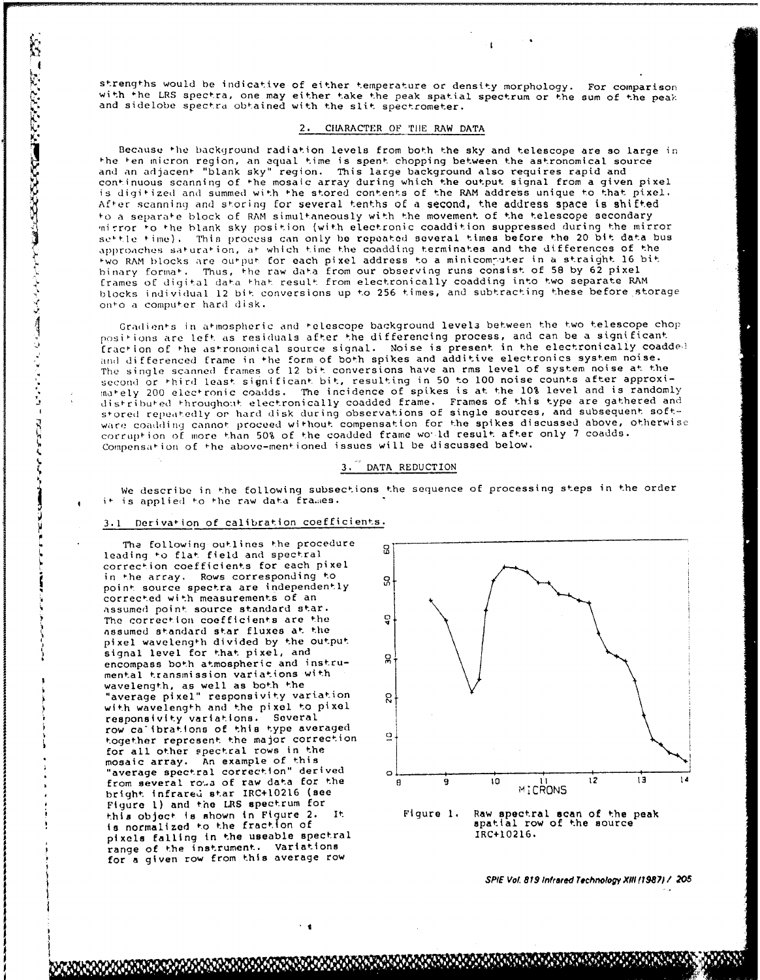strengths would be indicative of either temperature or density morphology. For comparison with the LRS spectra, one may either take the peak spatial spectrum or the sum of the peak and sidelobe spectra obtained with the slit spectrometer.

 $\mathbf{t}$ 

### 2. CHARACTER OF TIlE RAW DATA

Because the background radiation levels from both the sky and telescope are so large in the ten micron region, an equal time is spent chopping between the astronomical source and an adjacent- "blank sky" region. This large background also requires rapid and continuous scanning of the mosaic array during which the output signal from a given pixel is digitized and summed with the stored contents of the RAM address unique to that pixel. After scanning and storing for several tenths of a second, the address space is shifted to a separate block of RAM simultaneously with the movement of the telescope secondary mirror to the blank sky position (with electronic coaddition suppressed during the mirror settle time). This process can only be repeated several times before the 20 bit data bus approaches saturation, at- which time the coadding terminates and the differences of the two RAM blocks are output for each pixel address to a minicomputer in a straight 16 bit binary format. Thus, the raw data from our observing runs consist of 58 by 62 pixel frames of digital data that result from electronically coadding into two separate RAM blocks individual 12 bit conversions up to 256 times, and subtracting these before storage ont-o a compu+er hard disk. Agreement-s in attention of either temperature of density morphology. Por comparison<br>with the LES spectra obtained with the sit for peak apathelist spectra of the peak<br>and sidelobe spectra obtained with the sit spectromet

positions are left as residuals after the differencing process, and can be a significant fraction of the astronomical source signal. Noise is present in the electronically coadded **and** differenced frame in **4he** form of both spikes and additive electronics system noise. The single scanned frames of 12 bit conversions have an rms level of system noise at the second or third least significant bit, resulting in 50 to 100 noise counts after approximately 200 electronic coadds. The incidence of spikes is at the 10% level and is randomly distributed throughout electronically coadded frame. Frames of this type are gathered and stored repeeatedly or hard disk during observations of single sources, and subsequent software coadding cannot proceed without compensation for the spikes discussed above, otherwise corrupt-ion of more than 50% of the coadded frame wel d result after only 7 coadds. Ware coadding cannot proceed without compensation for the spikes di<br>
corruption of more than 50% of the coadded frame would result after<br>
Compensation of the above-mentioned issues will be discussed below.<br>
3. DATA REDUCTI

# 3. DATA REDUCTION

We describe in the following subsections the sequence of processing steps in the order **4** it- is applied to the raw data fra.ies.

# 3.1 Derivat-ion of calibration coefficients.

 $\mathbf{I}$ 

The following outlines the procedure leading to flat field and spectral correction coefficients for each pixel in the array. Rows corresponding to only only only on the contract of the contract of the contract of the contract of the contract of the contract of the contract of the contract of the contract of the contract of the cont point source spectra are independently , corrected with measurements of an assumed point source standard star. The correction coefficients are the **Q** assumed standard star fluxes at the pixel wavelength divided by the output signal level for that pixel, and encompass both atmospheric and instru- **M** mental transmission variations with wavelength, as well as both the<br>"average pixel" responsivity variation = 0 with wavelength and the pixel to pixel responsivity variations. Several row ca'ibrations of this type averaged together represent the major correction  for all other spectral rows in the mosaic array. An example of this from several ro<sub>"</sub>,a of raw data for the  $\frac{9}{10}$  **10 11**<br>bright infrared star IRC+10216 (see bright infrared star IRC+10216 (see Figure **1)** and the LRS spectrum for is normalized to the fraction of spatial row of spatial row of the source pixels falling in the useable spectral IRC+10216. range of the instrument. Variations for a given row from this average row



**-i** *SPIE* **Vol** *879 Infrared Technology XIII f1987?/ 205*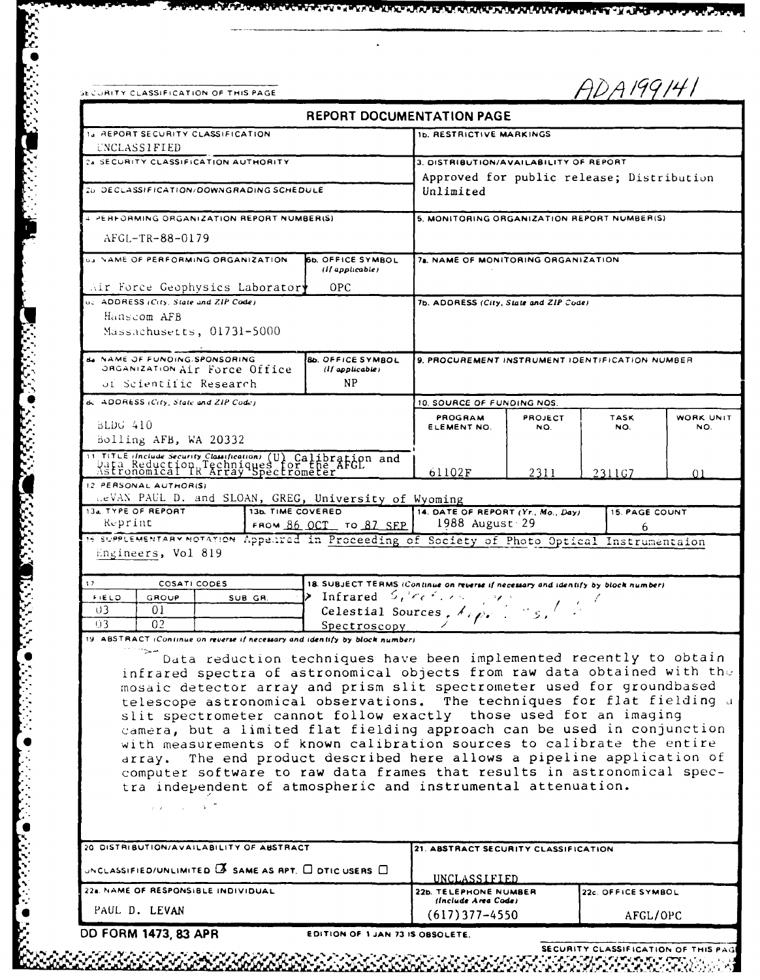| ECURITY CLASSIFICATION OF THIS PAGE |  |
|-------------------------------------|--|

**BOOKS OF A STAGE** 

**SECTIONS** 

**ARTICLES** 

こうかいかい いいこう

63363

ADA199141

|                                                                                                                                                                                                                                                                                                                                                                                                                                                                                                                                                                                                                                                                                                                                                                        |                   |                                                                                                                                                                                                                      | <b>REPORT DOCUMENTATION PAGE</b>                                                             |                |  |                                |           |
|------------------------------------------------------------------------------------------------------------------------------------------------------------------------------------------------------------------------------------------------------------------------------------------------------------------------------------------------------------------------------------------------------------------------------------------------------------------------------------------------------------------------------------------------------------------------------------------------------------------------------------------------------------------------------------------------------------------------------------------------------------------------|-------------------|----------------------------------------------------------------------------------------------------------------------------------------------------------------------------------------------------------------------|----------------------------------------------------------------------------------------------|----------------|--|--------------------------------|-----------|
| 14 REPORT SECURITY CLASSIFICATION                                                                                                                                                                                                                                                                                                                                                                                                                                                                                                                                                                                                                                                                                                                                      |                   |                                                                                                                                                                                                                      | <b>1b. RESTRICTIVE MARKINGS</b>                                                              |                |  |                                |           |
| <b>UNCLASSIFIED</b><br>23 SECURITY CLASSIFICATION AUTHORITY                                                                                                                                                                                                                                                                                                                                                                                                                                                                                                                                                                                                                                                                                                            |                   |                                                                                                                                                                                                                      |                                                                                              |                |  |                                |           |
|                                                                                                                                                                                                                                                                                                                                                                                                                                                                                                                                                                                                                                                                                                                                                                        |                   |                                                                                                                                                                                                                      | 3. DISTRIBUTION/AVAILABILITY OF REPORT<br>Approved for public release; Distribution          |                |  |                                |           |
| 26 DECLASSIFICATION/DOWNGRADING SCHEDULE                                                                                                                                                                                                                                                                                                                                                                                                                                                                                                                                                                                                                                                                                                                               |                   |                                                                                                                                                                                                                      | Unlimited                                                                                    |                |  |                                |           |
| 4 PERFORMING ORGANIZATION REPORT NUMBER(S)                                                                                                                                                                                                                                                                                                                                                                                                                                                                                                                                                                                                                                                                                                                             |                   |                                                                                                                                                                                                                      | 5. MONITORING ORGANIZATION REPORT NUMBER(S)                                                  |                |  |                                |           |
| AFGL-TR-88-0179                                                                                                                                                                                                                                                                                                                                                                                                                                                                                                                                                                                                                                                                                                                                                        |                   |                                                                                                                                                                                                                      |                                                                                              |                |  |                                |           |
| <b>03 NAME OF PERFORMING ORGANIZATION</b><br><b>66. OFFICE SYMBOL</b><br>(If applied the)                                                                                                                                                                                                                                                                                                                                                                                                                                                                                                                                                                                                                                                                              |                   | 7a. NAME OF MONITORING ORGANIZATION                                                                                                                                                                                  |                                                                                              |                |  |                                |           |
| Air Force Geophysics Laboratory                                                                                                                                                                                                                                                                                                                                                                                                                                                                                                                                                                                                                                                                                                                                        |                   | <b>OPC</b>                                                                                                                                                                                                           |                                                                                              |                |  |                                |           |
| oc. ADDRESS (City, State and ZIP Code).<br>Hanscom AFB<br>Massachusetts, 01731-5000                                                                                                                                                                                                                                                                                                                                                                                                                                                                                                                                                                                                                                                                                    |                   |                                                                                                                                                                                                                      | 7b. ADDRESS (City, State and ZIP Code)                                                       |                |  |                                |           |
| de NAME OF FUNDING SPONSORING<br>ORGANIZATION AIT Force Office<br>of Scientific Research                                                                                                                                                                                                                                                                                                                                                                                                                                                                                                                                                                                                                                                                               |                   | <b>BD. OFFICE SYMBOL</b><br>$(1)$ applicable)<br>ΝP                                                                                                                                                                  | 9. PROCUREMENT INSTRUMENT IDENTIFICATION NUMBER                                              |                |  |                                |           |
| de ADDRESS (City, State and ZIP Code)                                                                                                                                                                                                                                                                                                                                                                                                                                                                                                                                                                                                                                                                                                                                  |                   |                                                                                                                                                                                                                      |                                                                                              |                |  |                                |           |
|                                                                                                                                                                                                                                                                                                                                                                                                                                                                                                                                                                                                                                                                                                                                                                        |                   |                                                                                                                                                                                                                      | 10. SOURCE OF FUNDING NOS.<br>PROGRAM                                                        | <b>PROJECT</b> |  | <b>TASK</b>                    | WORK UNIT |
| BLDG 410<br>Bolling AFB, WA 20332                                                                                                                                                                                                                                                                                                                                                                                                                                                                                                                                                                                                                                                                                                                                      |                   |                                                                                                                                                                                                                      | ELEMENT NO.                                                                                  | NO.            |  | NO.                            | NO.       |
| 11 TITLE (Include Security Classification) (U) Calibration and<br>Data Reduction Techniques for the AFGL<br>Astronomical IR Array Spectrometer                                                                                                                                                                                                                                                                                                                                                                                                                                                                                                                                                                                                                         |                   |                                                                                                                                                                                                                      | 61102F                                                                                       | 2311           |  | 2311G7                         | 01        |
| 12. PERSONAL AUTHOR(S)                                                                                                                                                                                                                                                                                                                                                                                                                                                                                                                                                                                                                                                                                                                                                 |                   |                                                                                                                                                                                                                      |                                                                                              |                |  |                                |           |
|                                                                                                                                                                                                                                                                                                                                                                                                                                                                                                                                                                                                                                                                                                                                                                        |                   |                                                                                                                                                                                                                      |                                                                                              |                |  |                                |           |
| LeVAN PAUL D. and SLOAN, GREG, University of Wyoming                                                                                                                                                                                                                                                                                                                                                                                                                                                                                                                                                                                                                                                                                                                   | 13b. TIME COVERED |                                                                                                                                                                                                                      | 14. DATE OF REPORT (Yr. Mo., Day)                                                            |                |  | <b>15. PAGE COUNT</b>          |           |
| Keprint                                                                                                                                                                                                                                                                                                                                                                                                                                                                                                                                                                                                                                                                                                                                                                |                   | FROM 86 OCT TO 87 SEP                                                                                                                                                                                                | 1988 August 29                                                                               |                |  | 6                              |           |
| Engineers, Vol 819                                                                                                                                                                                                                                                                                                                                                                                                                                                                                                                                                                                                                                                                                                                                                     |                   |                                                                                                                                                                                                                      |                                                                                              |                |  |                                |           |
| COSATI CODES<br>FIELD<br>GROUP<br>υ3<br>01<br>0 <sup>2</sup><br>03<br>infrared spectra of astronomical objects from raw data obtained with the<br>mosaic detector array and prism slit spectrometer used for groundbased<br>telescope astronomical observations. The techniques for flat fielding a<br>slit spectrometer cannot follow exactly those used for an imaging<br>camera, but a limited flat fielding approach can be used in conjunction<br>with measurements of known calibration sources to calibrate the entire<br>array. The end product described here allows a pipeline application of<br>computer software to raw data frames that results in astronomical spec-<br>tra independent of atmospheric and instrumental attenuation.<br>$2.2 - 1.2 - 3.$ | SUB GR.           | 18. SUBJECT TERMS (Continue on reverse if necessary and identify by block number)<br>> Infrared $S_t$ ' $ee^t$ , $e^t$ , $e^t$<br>Spectroscopy<br>Data reduction techniques have been implemented recently to obtain | Celestial Sources, $\lambda_{\ell}$ , $\lambda_{\ell}$ , $\lambda_{\ell}$ , $\lambda_{\ell}$ |                |  |                                |           |
|                                                                                                                                                                                                                                                                                                                                                                                                                                                                                                                                                                                                                                                                                                                                                                        |                   |                                                                                                                                                                                                                      |                                                                                              |                |  |                                |           |
|                                                                                                                                                                                                                                                                                                                                                                                                                                                                                                                                                                                                                                                                                                                                                                        |                   |                                                                                                                                                                                                                      | 21. ABSTRACT SECURITY CLASSIFICATION                                                         |                |  |                                |           |
|                                                                                                                                                                                                                                                                                                                                                                                                                                                                                                                                                                                                                                                                                                                                                                        |                   |                                                                                                                                                                                                                      | UNCLASSIFIED                                                                                 |                |  |                                |           |
| 13a TYPE OF REPORT<br>15 SUPPLEMENTARY NOTATION Appeared in Proceeding of Society of Photo Optical Instrumentaion<br>17<br>19 ABSTRACT (Continue on reverse if necessary and identify by block number)<br>20 DISTRIBUTION/AVAILABILITY OF ABSTRACT<br>UNCLASSIFIED/UNLIMITED $\overline{\mathbf{A}}$ SAME AS RPT, $\Box$ DTIC USERS $\Box$<br>22a. NAME OF RESPONSIBLE INDIVIDUAL<br>PAUL D. LEVAN                                                                                                                                                                                                                                                                                                                                                                     |                   |                                                                                                                                                                                                                      | 22b. TELEPHONE NUMBER<br>(Include Area Code)<br>$(617)$ 377-4550                             |                |  | 22c. OFFICE SYMBOL<br>AFGL/OPC |           |

 $\ddot{\phantom{1}}$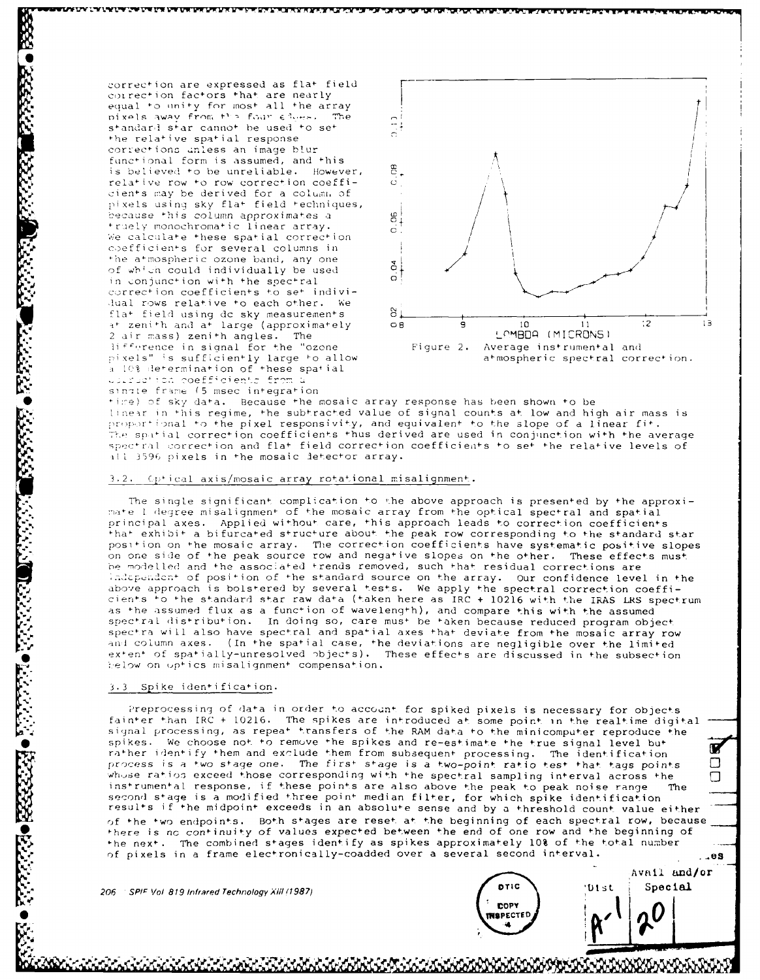correction are expressed as flat field correction factors that are nearly equal to unity for most all the array pixels away from the four chose. The standard star cannot be used to set the relative spatial response corrections unless an image blur functional form is assumed, and this is believed to be unreliable. However, relative row to row correction coefficients may be derived for a column of pixels using sky flat field techniques, because this column approximates a fruely monochromatic linear array. We calculate these spatial correction coefficients for several columns in the atmospheric ozone band, any one of which could individually be used in conjunction with the spectral correction coefficients to set individual rows relative to each other. We flat field using do sky measurements<br>at zenith and at large (approximately 2 air mass) zenith angles. The Hifference in signal for the "ozone pixels" is sufficiently large to allow a 10% determination of these spatial woursetion coefficients from a single frame (5 msec integration



time) of sky data. Because the mosaic array response has been shown to be linear in this regime, the subtracted value of signal counts at low and high air mass is proportional to the pixel responsivity, and equivalent to the slope of a linear fit. The spatial correction coefficients thus derived are used in conjunction with the average spectral correction and flat field correction coefficients to set the relative levels of all 3596 pixels in the mosaic detector array.

#### 3.2. Optical axis/mosaic array rotational misalignment.

JARKA KABUPATAN YA MAJAMA SOR J

The single significant complication to the above approach is presented by the approximate I degree misalignment of the mosaic array from the optical spectral and spatial principal axes. Applied without care, this approach leads to correction coefficients that exhibit a bifurcated structure about the peak row corresponding to the standard star position on the mosaic array. The correction coefficients have systematic positive slopes on one side of the peak source row and negative slopes on the other. These effects must be modelled and the associated trends removed, such that residual corrections are independent of position of the standard source on the array. Our confidence level in the above approach is bolstered by several tests. We apply the spectral correction coeffi-<br>cients to the standard star raw data (taken here as IRC + 10216 with the IRAS LRS spectrum as the assumed flux as a function of wavelength), and compare this with the assumed spectral distribution. In doing so, care must be taken because reduced program object spectra will also have spectral and spatial axes that deviate from the mosaic array row and column axes. (In the spatial case, the deviations are negligible over the limited extent of spatially-unresolved objects). These effects are discussed in the subsection below on optics misalignment compensation.

#### 3.3 Spike identification.

**Designation** 

ACCORD CONTRACTOR

Preprocessing of data in order to account for spiked pixels is necessary for objects fainter than IRC + 10216. The spikes are introduced at some point in the realtime digital signal processing, as repeat transfers of the RAM data to the minicomputer reproduce the We choose not to remove the spikes and re-estimate the true signal level but spikes.  $\mathbf{z}$ rather identify them and exclude them from subsequent processing. The identification  $\Box$ process is a two stage one. The first stage is a two-point ratio test that tags points whose ratios exceed those corresponding with the spectral sampling interval across the  $\Box$ instrumental response, if these points are also above the peak to peak noise range second stage is a modified three point median filter, for which spike identification results if the midpoint exceeds in an absolute sense and by a threshold count value either of the two endpoints. Both stages are reset at the beginning of each spectral row, because there is no continuity of values expected between the end of one row and the beginning of the next. The combined stages identify as spikes approximately 10% of the total number of pixels in a frame electronically-coadded over a several second interval

206 SPIF Vol 819 Infrared Technology XIII (1987)

| DTIC                     |
|--------------------------|
| COPY<br><b>INSPECTED</b> |
|                          |

|       | $\boldsymbol{\Omega}$ |      |
|-------|-----------------------|------|
| 'Dist | Special               |      |
|       | Avail and/or          |      |
| u.    |                       | - 88 |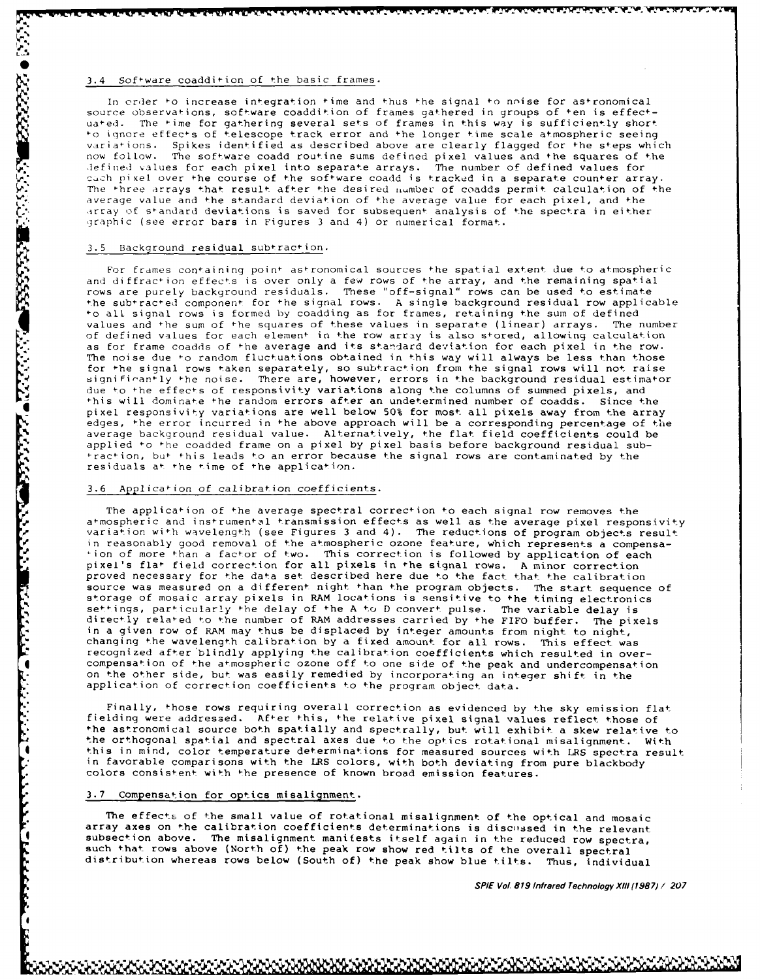# 3.4 Software coaddition of the basic frames.

In order to increase integration time and thus the signal to noise for astronomical source observations, software coaddition of frames gathered in groups of ten is effectuated. The time for gathering several sets of frames in this way is sufficiently short<br>to ignore effects of telescope track error and the longer time scale atmospheric seeing variations. Spikes identified as described above are clearly flagged for the steps which now follow. The software coadd routine sums defined pixel values and **the** squares of the lefined values for each pixel into separate arrays. The number of defined values for cach pixel over the course of the software coadd is tracked in a separate counter array. The three arrays that result after the desired number of coadds permit calculation of the average value and the standard deviation of the average value for each pixel, and the array of standard deviations is saved for subsequent analysis of the spectra in either graphic (see error bars in Figures 3 and 4) or numerical format.

#### 3.5 Background residual subtraction.

**RECESSIBLY AND RECESSED** 

ANTENNA STATISTICAL

For frames containing point astronomical sources the spatial extent due to atmospheric and diffraction effects is over only a few rows of the array, and the remaining spatial rows are purely background residuals. These "off-signal" rows can be used to estimate the subtracted component for the signal rows. A single background residual row applicable to all signal rows is formed by coadding as for frames, retaining the sum of defined values and the sum of the squares of these values in separate (linear) arrays. The number of defined values for each element in the row array is also stored, allowing calculation as for frame coadds of the average and its standard deviation for each pixel in the row. The noise due to random fluctuations obtained in this way will always be less than those for the signal rows taken separately, so subtraction from the signal rows will not raise<br>significantly the noise. There are, however, errors in the background residual estimator due to the effects of responsivity variations along the columns of summed pixels, and ihis will dominate ihe random errors after an undetermined number of coadds. Since the pixel responsivity variations are well below 50% for most all pixels away from the array edges, the error incurred in the above approach will be a corresponding percentage of the average background residual value. Alternatively, the flat field coefficients could be applied to the coadded frame on a pixel by pixel basis before background residual subtraction, but this leads to an error because the signal rows are contaminated by the residuals at the time of the application.

## 3.6 Application of calibration coefficients.

The application of the average spectral correction to each signal row removes the atmospheric and instrumental transmission effects as well as the average pixel responsivity variation with wavelength (see Figures 3 and 4). The reductions of program objects result in reasonably good removal of the atmospheric ozone feature, which represents a compensation of more than a factor of two. This correction is followed by application of each pixel's flat field correction for all pixels in the signal rows. A minor correction proved necessary for the data set described here due to the fact that the calibration source was measured on a different night than the program objects. The start sequence of storage of mosaic array pixels in RAM locations is sensitive to the timing electronics settings, particularly the delay of the A to D convert pulse. The variable delay is directly related to the number of RAM addresses carried by the FIFO buffer. The pixels in a given row of RAM may thus be displaced by integer amounts from night to night, changing the wavelength calibration by a fixed amount for all rows. This effect was recognized after blindly applying the calibration coefficients which resulted in over-<br>compensation of the atmospheric ozone off to one side of the peak and undercompensation on the other side, but was easily remedied by incorporating an integer shift in the application of correction coefficients to the program object data.

 $\mathbf{F}$  Finally, those rows requiring overall correction as evidenced by the sky emission flat fielding were addressed. After this, the relative pixel signal values reflect those of the astronomical source both spatially and spectrally, but will exhibit a skew relative to the orthogonal spatial and spectral axes due to the optics rotational misalignment. With 4 this in mind, color temperature determinations for measured sources with LRS spectra result in favorable comparisons with the LRS colors, with both deviating from pure blackbody colors consistent with the presence of known broad emission features.

# 3.7 Compensation for optics misalignment.

The effects of the small value of rotational misalignment of the optical and mosaic array axes on the calibration coefficients determinations is discissed in the relevant subsection above. The misalignment manifests itself again in the reduced row spectra, such that rows above (North of) the peak row show red tilts of the overall spectral distribution whereas rows below (South of) the peak show blue tilts. Thus, individual

**SPIE Vol 819 Infrared Technology** X111 **(7987)! 207**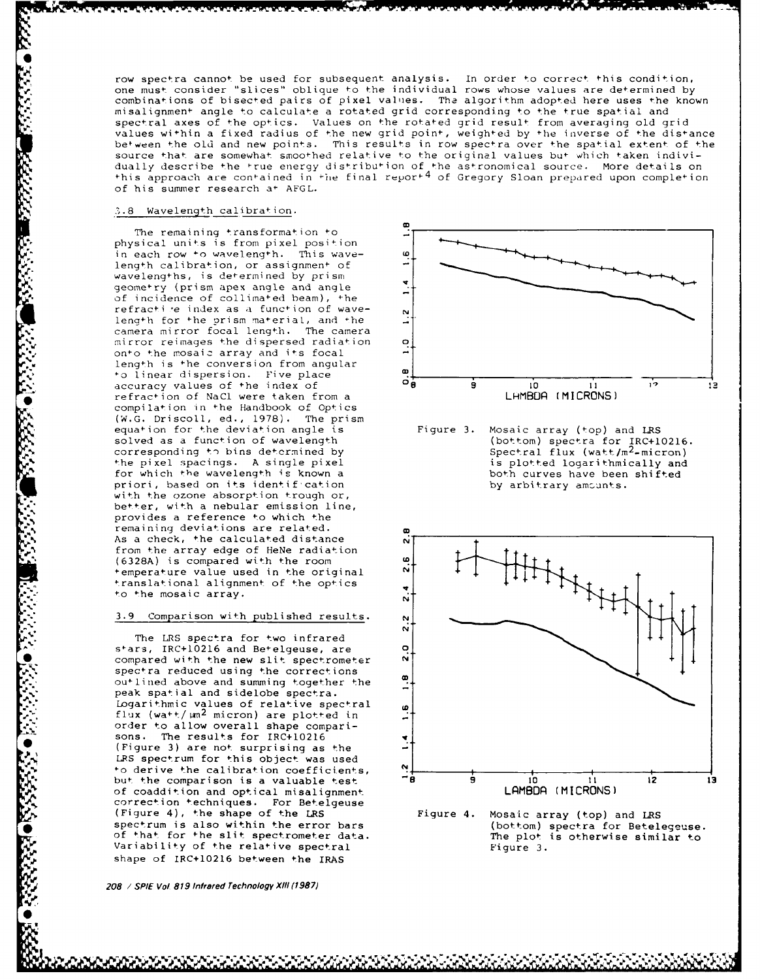row spectra cannot be used for subsequent analysis. In order to correct this condition, one must consider "slices" oblique to the individual rows whose values are determined by combinations of bisected pairs of pixel values. The algorithm adopted here uses the known misalignment angle to calculate a rotated grid corresponding to the true spatial and spectral axes of the optics. Values on the rotated grid result from averaging old grid values within a fixed radius of the new grid point, weighted by the inverse of the distance befween the old and new points. This results in row spectra over the spatial extent of the source that are somewhat smoothed relative to the original values bu+ which taken individually describe the true energy distribution of the astronomical source. More details on this approach are contained in the final report<sup>4</sup> of Gregory Sloan prepared upon completion of his summer research at AFGL.

# **..8** Wavelength calibration.

The remaining transformation to , physical units is from pixel position in each row to wavelength. This wave-  $\frac{\omega}{\omega}$ length calibration, or assignment of wavelengths, is determined by prism geometry (prism apex angle and angle of incidence of collimated beam), the refractive index as a function of wave-<br>length for the prism material, and the length for +he orism material, and \*he camera mirror focal length. The camera mirror reimages the dispersed radiation **0** onto the mosaic array and its focal length is the conversion from angular o linear dispersion. Five place Follinear dispersion. The process of the index of the index of the index of the index of the index of the index of the index of the index of the index of the index of the index of the index of the index of the index of the refraction of NaCl were taken from a compilation in the Handbook of Optics (W.G. Driscoll, ed., 1978). The prism for which the wavelength is known a both curves have been priori, based on its identification and the shifted by arbitrary amounts. priori, based on its identif-cation with the ozone absorption trough or, better, with a nebular emission line, provides a reference to which the remaining deviations are related. **C** As a check, the calculated distance from the array edge of HeNe radiation<br>(6328A) is compared with the room (6328A) is compared with the room temperature value used in the original **<sup>N</sup>** translational alignment of the optics to the mosaic array.

#### 3.9 Comparison with published results. **N**

The LRS spectra for two infrared stars, IRC+10216 and Betelgeuse, are **<sup>0</sup>** • compared with the new slit spectrometer **N** spectra reduced using the corrections outlined above and summing together the peak spatial and sidelobe spectra. Logarithmic values of relative spectral magnitic values of relative spectral one of the control of the control of the control of the control of the control of the control of the control of the control of the control of the control of the control of the control o order to allow overall shape comparisons. The results for IRC+10216<br>(Figure 3) are not surprising as the LRS spectrum for this object was used to derive the calibration coefficients, of coaddition and optical misalignment correction techniques. For Betelgeuse (Figure 4), the shape of the LRS Figure 4. Mosaic array (top) and LRS Variability of the relative spectral **Figure 3.** Figure 3. shape of IRC+10216 between the IRAS

**208 / SPIE Vol 819 Infrared Technology XI1I (1987)**

**CARACA DE CARACA DE CA** 



equation for the deviation angle is Figure 3. Mosaic array (top) and LRS<br>solved as a function of wavelength (bottom) spectra for IRC+10216. solved as a function of wavelength (bottom) spectra for IRC+10216 corresponding to bins determined by Spectral flux (watt/m<sup>2</sup>-micron) the pixel spacings. A single pixel is plotted logarithmically and<br>for which the wavelength is known a is both curves have been shifted



spectrum is also within the error bars (bottom) spectra for Betelegeuse. of that for the slit spectrometer data. The plot is otherwise similar to